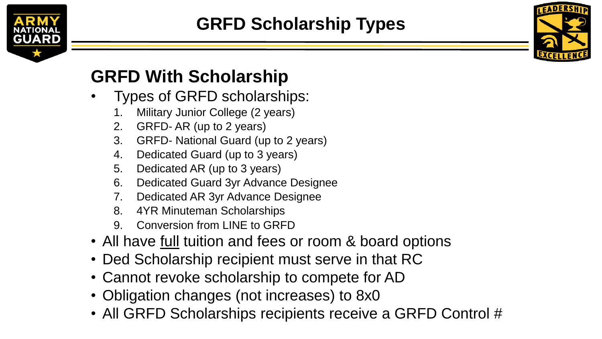



## **GRFD With Scholarship**

- Types of GRFD scholarships:
	- 1. Military Junior College (2 years)
	- 2. GRFD- AR (up to 2 years)
	- 3. GRFD- National Guard (up to 2 years)
	- 4. Dedicated Guard (up to 3 years)
	- 5. Dedicated AR (up to 3 years)
	- 6. Dedicated Guard 3yr Advance Designee
	- 7. Dedicated AR 3yr Advance Designee
	- 8. 4YR Minuteman Scholarships
	- 9. Conversion from LINE to GRFD
- All have full tuition and fees or room & board options
- Ded Scholarship recipient must serve in that RC
- Cannot revoke scholarship to compete for AD
- Obligation changes (not increases) to 8x0
- All GRFD Scholarships recipients receive a GRFD Control #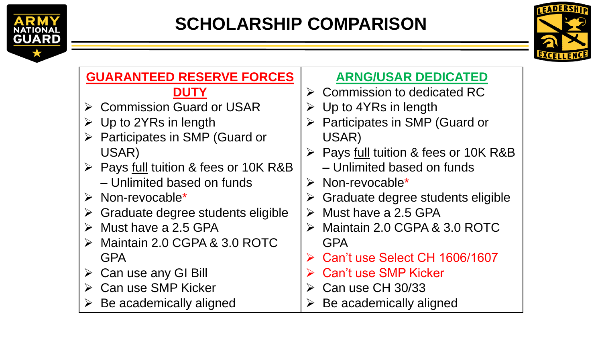



| <b>GUARANTEED RESERVE FORCES</b>                   | <b>ARNG/USAR DEDICATED</b>                         |
|----------------------------------------------------|----------------------------------------------------|
| <b>DUTY</b>                                        | $\triangleright$ Commission to dedicated RC        |
| ▶ Commission Guard or USAR                         | $\triangleright$ Up to 4YRs in length              |
| $\triangleright$ Up to 2YRs in length              | $\triangleright$ Participates in SMP (Guard or     |
| $\triangleright$ Participates in SMP (Guard or     | USAR)                                              |
| USAR)                                              | ▶ Pays full tuition & fees or 10K R&B              |
| ▶ Pays full tuition & fees or 10K R&B              | - Unlimited based on funds                         |
| - Unlimited based on funds                         | $\triangleright$ Non-revocable*                    |
| $\triangleright$ Non-revocable*                    | $\triangleright$ Graduate degree students eligible |
| $\triangleright$ Graduate degree students eligible | $\triangleright$ Must have a 2.5 GPA               |
| $\triangleright$ Must have a 2.5 GPA               | $\triangleright$ Maintain 2.0 CGPA & 3.0 ROTC      |
| $\triangleright$ Maintain 2.0 CGPA & 3.0 ROTC      | <b>GPA</b>                                         |
| <b>GPA</b>                                         | Can't use Select CH 1606/1607                      |
| $\triangleright$ Can use any GI Bill               | <b>Can't use SMP Kicker</b>                        |
| <b>Can use SMP Kicker</b>                          | Can use CH 30/33                                   |
| Be academically aligned                            | Be academically aligned<br>➤                       |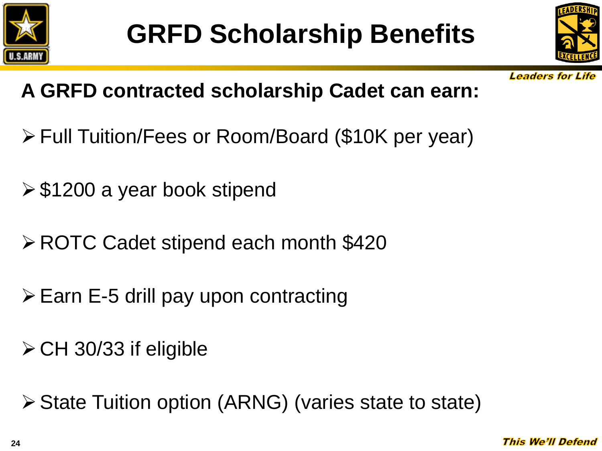



**Leaders for Life** 

## **A GRFD contracted scholarship Cadet can earn:**

- Full Tuition/Fees or Room/Board (\$10K per year)
- $\ge$  \$1200 a year book stipend
- **≻ ROTC Cadet stipend each month \$420**
- $\triangleright$  Earn E-5 drill pay upon contracting
- $\triangleright$  CH 30/33 if eligible

State Tuition option (ARNG) (varies state to state)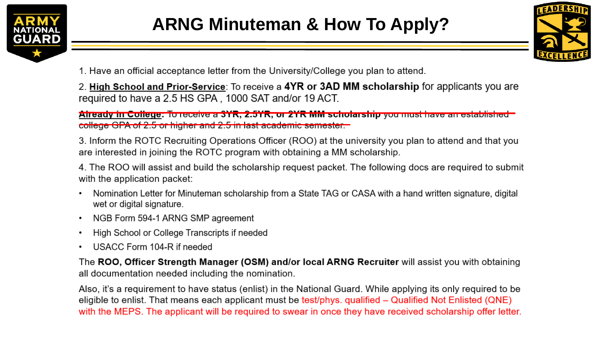



1. Have an official acceptance letter from the University/College you plan to attend.

2. High School and Prior-Service: To receive a 4YR or 3AD MM scholarship for applicants you are required to have a 2.5 HS GPA, 1000 SAT and/or 19 ACT.

Aiready in College: To receive a 3YR, 2.5YR, or 2YR MM scholarship you must have an established college GPA of 2.5 or higher and 2.5 in last academic semester.

3. Inform the ROTC Recruiting Operations Officer (ROO) at the university you plan to attend and that you are interested in joining the ROTC program with obtaining a MM scholarship.

4. The ROO will assist and build the scholarship request packet. The following docs are required to submit with the application packet:

- Nomination Letter for Minuteman scholarship from a State TAG or CASA with a hand written signature, digital wet or digital signature.
- NGB Form 594-1 ARNG SMP agreement
- High School or College Transcripts if needed
- USACC Form 104-R if needed

The ROO, Officer Strength Manager (OSM) and/or local ARNG Recruiter will assist you with obtaining all documentation needed including the nomination.

Also, it's a requirement to have status (enlist) in the National Guard. While applying its only required to be eligible to enlist. That means each applicant must be test/phys. qualified – Qualified Not Enlisted (QNE) with the MEPS. The applicant will be required to swear in once they have received scholarship offer letter.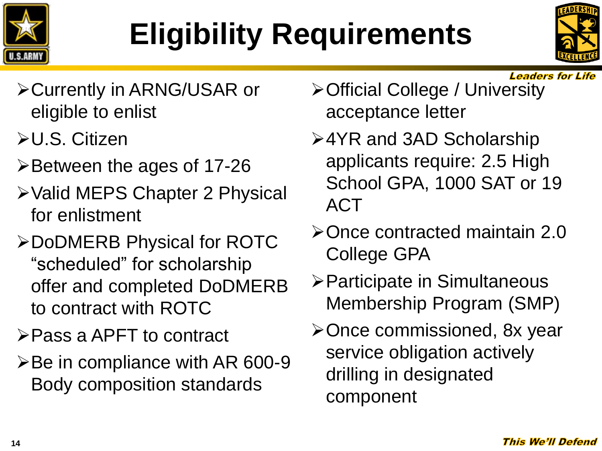## **Eligibility Requirements**



**Leaders for Life** 

- **≻Currently in ARNG/USAR or** eligible to enlist
- U.S. Citizen
- Between the ages of 17-26
- Valid MEPS Chapter 2 Physical for enlistment
- DoDMERB Physical for ROTC "scheduled" for scholarship offer and completed DoDMERB to contract with ROTC
- Pass a APFT to contract
- $\triangleright$  Be in compliance with AR 600-9 Body composition standards
- Official College / University acceptance letter
- 4YR and 3AD Scholarship applicants require: 2.5 High School GPA, 1000 SAT or 19 **ACT**
- Once contracted maintain 2.0 College GPA
- Participate in Simultaneous Membership Program (SMP)
- ≻Once commissioned, 8x year service obligation actively drilling in designated component